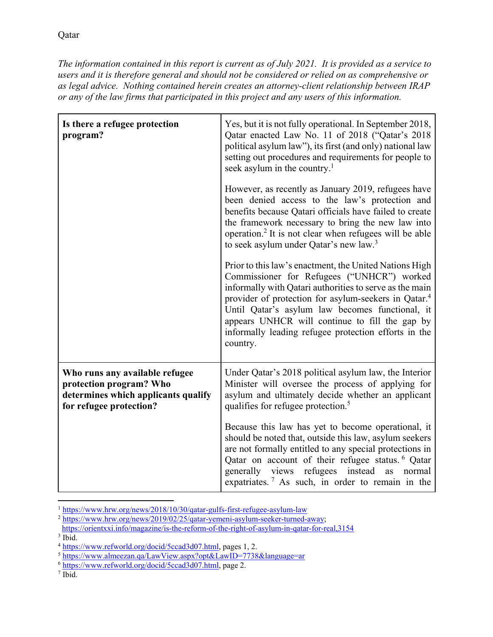*The information contained in this report is current as of July 2021. It is provided as a service to users and it is therefore general and should not be considered or relied on as comprehensive or as legal advice. Nothing contained herein creates an attorney-client relationship between IRAP or any of the law firms that participated in this project and any users of this information.* 

| Is there a refugee protection<br>program?                                                                                   | Yes, but it is not fully operational. In September 2018,<br>Qatar enacted Law No. 11 of 2018 ("Qatar's 2018<br>political asylum law"), its first (and only) national law<br>setting out procedures and requirements for people to<br>seek asylum in the country. <sup>1</sup><br>However, as recently as January 2019, refugees have<br>been denied access to the law's protection and                       |
|-----------------------------------------------------------------------------------------------------------------------------|--------------------------------------------------------------------------------------------------------------------------------------------------------------------------------------------------------------------------------------------------------------------------------------------------------------------------------------------------------------------------------------------------------------|
|                                                                                                                             | benefits because Qatari officials have failed to create<br>the framework necessary to bring the new law into<br>operation. <sup>2</sup> It is not clear when refugees will be able<br>to seek asylum under Qatar's new law. <sup>3</sup>                                                                                                                                                                     |
|                                                                                                                             | Prior to this law's enactment, the United Nations High<br>Commissioner for Refugees ("UNHCR") worked<br>informally with Qatari authorities to serve as the main<br>provider of protection for asylum-seekers in Qatar. <sup>4</sup><br>Until Qatar's asylum law becomes functional, it<br>appears UNHCR will continue to fill the gap by<br>informally leading refugee protection efforts in the<br>country. |
| Who runs any available refugee<br>protection program? Who<br>determines which applicants qualify<br>for refugee protection? | Under Qatar's 2018 political asylum law, the Interior<br>Minister will oversee the process of applying for<br>asylum and ultimately decide whether an applicant<br>qualifies for refugee protection. <sup>5</sup>                                                                                                                                                                                            |
|                                                                                                                             | Because this law has yet to become operational, it<br>should be noted that, outside this law, asylum seekers<br>are not formally entitled to any special protections in<br>Qatar on account of their refugee status. <sup>6</sup> Qatar<br>generally views refugees instead as normal<br>expatriates. <sup>7</sup> As such, in order to remain in the                                                        |

<sup>&</sup>lt;sup>1</sup>https://www.hrw.org/news/2018/10/30/qatar-gulfs-first-refugee-asylum-law

<sup>&</sup>lt;sup>2</sup> https://www.hrw.org/news/2019/02/25/qatar-yemeni-asylum-seeker-turned-away;

https://orientxxi.info/magazine/is-the-reform-of-the-right-of-asylum-in-qatar-for-real,3154

 $3$  Ibid.<br> $4$  https://www.refworld.org/docid/5ccad3d07.html, pages 1, 2.

 $\frac{1}{6}$  https://www.almeezan.qa/LawView.aspx?opt&LawID=7738&language=ar 6 https://www.refworld.org/docid/5ccad3d07.html, page 2.

<sup>&</sup>lt;sup>7</sup> Ibid.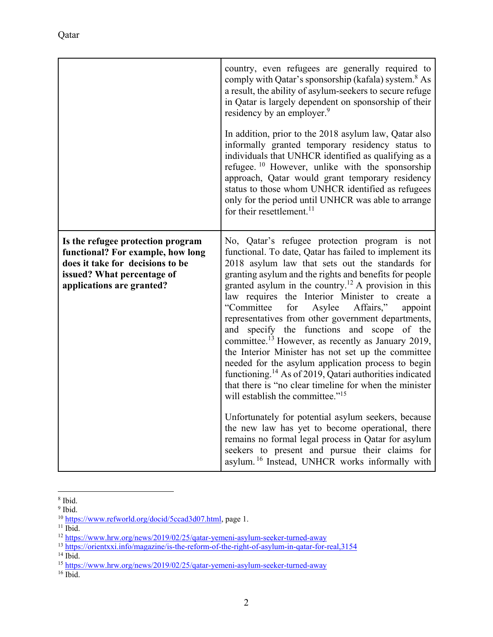|                                                                                                                                                                       | country, even refugees are generally required to<br>comply with Qatar's sponsorship (kafala) system. <sup>8</sup> As<br>a result, the ability of asylum-seekers to secure refuge<br>in Qatar is largely dependent on sponsorship of their<br>residency by an employer. <sup>9</sup><br>In addition, prior to the 2018 asylum law, Qatar also<br>informally granted temporary residency status to<br>individuals that UNHCR identified as qualifying as a<br>refugee. $10$ However, unlike with the sponsorship<br>approach, Qatar would grant temporary residency<br>status to those whom UNHCR identified as refugees<br>only for the period until UNHCR was able to arrange<br>for their resettlement. <sup>11</sup>                                                                                                                                                                                                                                                                                                                                                                                                                                 |
|-----------------------------------------------------------------------------------------------------------------------------------------------------------------------|--------------------------------------------------------------------------------------------------------------------------------------------------------------------------------------------------------------------------------------------------------------------------------------------------------------------------------------------------------------------------------------------------------------------------------------------------------------------------------------------------------------------------------------------------------------------------------------------------------------------------------------------------------------------------------------------------------------------------------------------------------------------------------------------------------------------------------------------------------------------------------------------------------------------------------------------------------------------------------------------------------------------------------------------------------------------------------------------------------------------------------------------------------|
| Is the refugee protection program<br>functional? For example, how long<br>does it take for decisions to be<br>issued? What percentage of<br>applications are granted? | No, Qatar's refugee protection program is not<br>functional. To date, Qatar has failed to implement its<br>2018 asylum law that sets out the standards for<br>granting asylum and the rights and benefits for people<br>granted asylum in the country. <sup>12</sup> A provision in this<br>law requires the Interior Minister to create a<br>"Committee<br>Affairs,"<br>for<br>Asylee<br>appoint<br>representatives from other government departments,<br>and specify the functions and scope of the<br>committee. <sup>13</sup> However, as recently as January 2019,<br>the Interior Minister has not set up the committee<br>needed for the asylum application process to begin<br>functioning. <sup>14</sup> As of 2019, Qatari authorities indicated<br>that there is "no clear timeline for when the minister<br>will establish the committee." <sup>15</sup><br>Unfortunately for potential asylum seekers, because<br>the new law has yet to become operational, there<br>remains no formal legal process in Qatar for asylum<br>seekers to present and pursue their claims for<br>asylum. <sup>16</sup> Instead, UNHCR works informally with |

 $\overline{a}$ 8 Ibid.

<sup>&</sup>lt;sup>9</sup> Ibid.

<sup>&</sup>lt;sup>10</sup> https://www.refworld.org/docid/5ccad3d07.html, page 1.<br><sup>11</sup> Ibid.

<sup>12</sup> https://www.hrw.org/news/2019/02/25/qatar-yemeni-asylum-seeker-turned-away<br>
<sup>13</sup> https://orientxxi.info/magazine/is-the-reform-of-the-right-of-asylum-in-qatar-for-real,3154<br>
<sup>14</sup> Ibid.

<sup>&</sup>lt;sup>15</sup> https://www.hrw.org/news/2019/02/25/qatar-yemeni-asylum-seeker-turned-away <sup>16</sup> Ibid.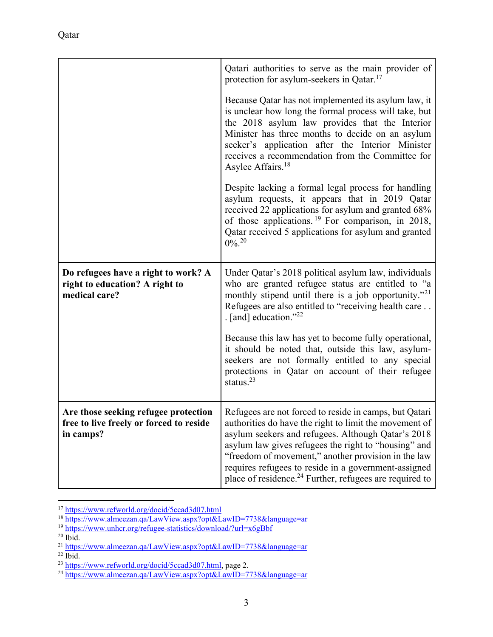|                                                                                        | Qatari authorities to serve as the main provider of<br>protection for asylum-seekers in Qatar. <sup>17</sup>                                                                                                                                                                                                                                                 |
|----------------------------------------------------------------------------------------|--------------------------------------------------------------------------------------------------------------------------------------------------------------------------------------------------------------------------------------------------------------------------------------------------------------------------------------------------------------|
|                                                                                        | Because Qatar has not implemented its asylum law, it<br>is unclear how long the formal process will take, but<br>the 2018 asylum law provides that the Interior<br>Minister has three months to decide on an asylum<br>seeker's application after the Interior Minister<br>receives a recommendation from the Committee for<br>Asylee Affairs. <sup>18</sup> |
|                                                                                        | Despite lacking a formal legal process for handling<br>asylum requests, it appears that in 2019 Qatar<br>received 22 applications for asylum and granted 68%<br>of those applications. <sup>19</sup> For comparison, in 2018,<br>Qatar received 5 applications for asylum and granted<br>$0\%$ <sup>20</sup>                                                 |
| Do refugees have a right to work? A<br>right to education? A right to<br>medical care? | Under Qatar's 2018 political asylum law, individuals<br>who are granted refugee status are entitled to "a<br>monthly stipend until there is a job opportunity." <sup>21</sup><br>Refugees are also entitled to "receiving health care<br>. [and] education." $^{22}$                                                                                         |
|                                                                                        | Because this law has yet to become fully operational,<br>it should be noted that, outside this law, asylum-<br>seekers are not formally entitled to any special<br>protections in Qatar on account of their refugee<br>status. $^{23}$                                                                                                                       |
| Are those seeking refugee protection                                                   | Refugees are not forced to reside in camps, but Qatari                                                                                                                                                                                                                                                                                                       |
| free to live freely or forced to reside                                                | authorities do have the right to limit the movement of                                                                                                                                                                                                                                                                                                       |
| in camps?                                                                              | asylum seekers and refugees. Although Qatar's 2018<br>asylum law gives refugees the right to "housing" and                                                                                                                                                                                                                                                   |
|                                                                                        | "freedom of movement," another provision in the law                                                                                                                                                                                                                                                                                                          |
|                                                                                        | requires refugees to reside in a government-assigned<br>place of residence. $24$ Further, refugees are required to                                                                                                                                                                                                                                           |

<sup>&</sup>lt;sup>17</sup> https://www.refworld.org/docid/5ccad3d07.html<br><sup>18</sup> https://www.almeezan.qa/LawView.aspx?opt&LawID=7738&language=ar<br><sup>19</sup> https://www.unhcr.org/refugee-statistics/download/?url=x6gBbf<br><sup>20</sup> Ibid.

<sup>&</sup>lt;sup>21</sup> https://www.almeezan.qa/LawView.aspx?opt&LawID=7738&language=ar <sup>22</sup> Ibid.

<sup>23</sup> https://www.refworld.org/docid/5ccad3d07.html, page 2.<br>24 https://www.almeezan.qa/LawView.aspx?opt&LawID=7738&language=ar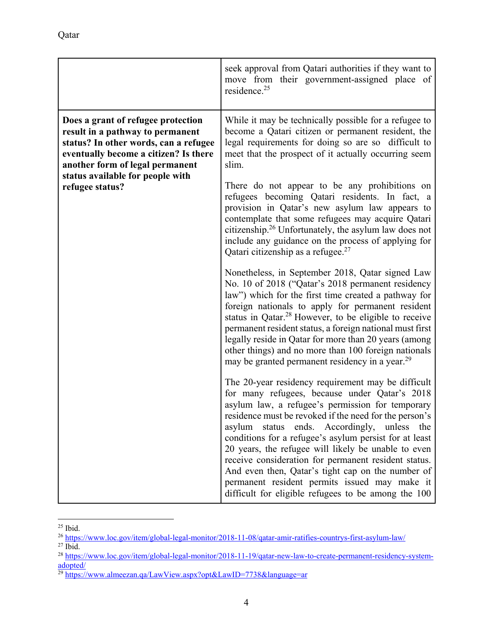|                                                                                                                                                                                                                                                    | seek approval from Qatari authorities if they want to<br>move from their government-assigned place of<br>residence. <sup>25</sup>                                                                                                                                                                                                                                                                                                                                                                                                                                                                                                                                                                                                                                                                                                                                                                                                                                                                                                                                                                                                                                                                                                                                                                                                                                                                                                                                                                                                                                                                                                                                                                                                                                            |
|----------------------------------------------------------------------------------------------------------------------------------------------------------------------------------------------------------------------------------------------------|------------------------------------------------------------------------------------------------------------------------------------------------------------------------------------------------------------------------------------------------------------------------------------------------------------------------------------------------------------------------------------------------------------------------------------------------------------------------------------------------------------------------------------------------------------------------------------------------------------------------------------------------------------------------------------------------------------------------------------------------------------------------------------------------------------------------------------------------------------------------------------------------------------------------------------------------------------------------------------------------------------------------------------------------------------------------------------------------------------------------------------------------------------------------------------------------------------------------------------------------------------------------------------------------------------------------------------------------------------------------------------------------------------------------------------------------------------------------------------------------------------------------------------------------------------------------------------------------------------------------------------------------------------------------------------------------------------------------------------------------------------------------------|
| Does a grant of refugee protection<br>result in a pathway to permanent<br>status? In other words, can a refugee<br>eventually become a citizen? Is there<br>another form of legal permanent<br>status available for people with<br>refugee status? | While it may be technically possible for a refugee to<br>become a Qatari citizen or permanent resident, the<br>legal requirements for doing so are so difficult to<br>meet that the prospect of it actually occurring seem<br>slim.<br>There do not appear to be any prohibitions on<br>refugees becoming Qatari residents. In fact, a<br>provision in Qatar's new asylum law appears to<br>contemplate that some refugees may acquire Qatari<br>citizenship. <sup>26</sup> Unfortunately, the asylum law does not<br>include any guidance on the process of applying for<br>Qatari citizenship as a refugee. <sup>27</sup><br>Nonetheless, in September 2018, Qatar signed Law<br>No. 10 of 2018 ("Qatar's 2018 permanent residency<br>law") which for the first time created a pathway for<br>foreign nationals to apply for permanent resident<br>status in Qatar. <sup>28</sup> However, to be eligible to receive<br>permanent resident status, a foreign national must first<br>legally reside in Qatar for more than 20 years (among<br>other things) and no more than 100 foreign nationals<br>may be granted permanent residency in a year. <sup>29</sup><br>The 20-year residency requirement may be difficult<br>for many refugees, because under Qatar's 2018<br>asylum law, a refugee's permission for temporary<br>residence must be revoked if the need for the person's<br>asylum status ends. Accordingly, unless the<br>conditions for a refugee's asylum persist for at least<br>20 years, the refugee will likely be unable to even<br>receive consideration for permanent resident status.<br>And even then, Qatar's tight cap on the number of<br>permanent resident permits issued may make it<br>difficult for eligible refugees to be among the 100 |

 $\overline{a}$ <sup>25</sup> Ibid.

<sup>26</sup> https://www.loc.gov/item/global-legal-monitor/2018-11-08/qatar-amir-ratifies-countrys-first-asylum-law/<br>27 Ibid.

<sup>&</sup>lt;sup>28</sup> https://www.loc.gov/item/global-legal-monitor/2018-11-19/qatar-new-law-to-create-permanent-residency-systemadopted/<br><sup>29</sup> https://www.almeezan.qa/LawView.aspx?opt&LawID=7738&language=ar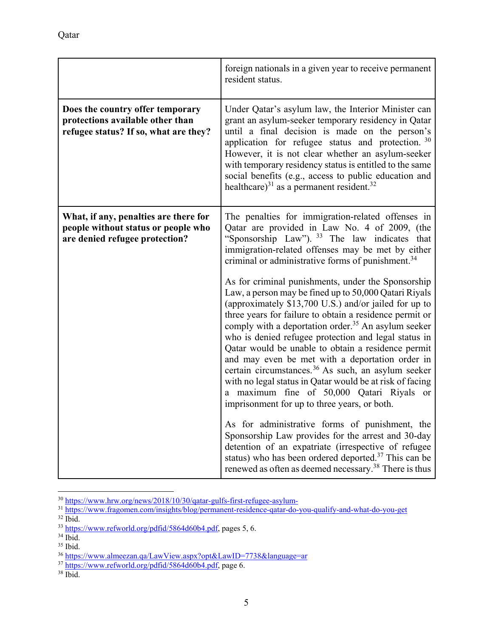|                                                                                                                | foreign nationals in a given year to receive permanent<br>resident status.                                                                                                                                                                                                                                                                                                                                                                                                                                                                                                                                                                                                                                                                                                                                                                                                                                                                                                                                                                                                                                                                                                                                                                                                          |
|----------------------------------------------------------------------------------------------------------------|-------------------------------------------------------------------------------------------------------------------------------------------------------------------------------------------------------------------------------------------------------------------------------------------------------------------------------------------------------------------------------------------------------------------------------------------------------------------------------------------------------------------------------------------------------------------------------------------------------------------------------------------------------------------------------------------------------------------------------------------------------------------------------------------------------------------------------------------------------------------------------------------------------------------------------------------------------------------------------------------------------------------------------------------------------------------------------------------------------------------------------------------------------------------------------------------------------------------------------------------------------------------------------------|
| Does the country offer temporary<br>protections available other than<br>refugee status? If so, what are they?  | Under Qatar's asylum law, the Interior Minister can<br>grant an asylum-seeker temporary residency in Qatar<br>until a final decision is made on the person's<br>application for refugee status and protection. $30$<br>However, it is not clear whether an asylum-seeker<br>with temporary residency status is entitled to the same<br>social benefits (e.g., access to public education and<br>healthcare) <sup>31</sup> as a permanent resident. <sup>32</sup>                                                                                                                                                                                                                                                                                                                                                                                                                                                                                                                                                                                                                                                                                                                                                                                                                    |
| What, if any, penalties are there for<br>people without status or people who<br>are denied refugee protection? | The penalties for immigration-related offenses in<br>Qatar are provided in Law No. 4 of 2009, (the<br>"Sponsorship Law"). 33 The law indicates that<br>immigration-related offenses may be met by either<br>criminal or administrative forms of punishment. <sup>34</sup><br>As for criminal punishments, under the Sponsorship<br>Law, a person may be fined up to 50,000 Qatari Riyals<br>(approximately \$13,700 U.S.) and/or jailed for up to<br>three years for failure to obtain a residence permit or<br>comply with a deportation order. <sup>35</sup> An asylum seeker<br>who is denied refugee protection and legal status in<br>Qatar would be unable to obtain a residence permit<br>and may even be met with a deportation order in<br>certain circumstances. <sup>36</sup> As such, an asylum seeker<br>with no legal status in Qatar would be at risk of facing<br>a maximum fine of 50,000 Qatari Riyals or<br>imprisonment for up to three years, or both.<br>As for administrative forms of punishment, the<br>Sponsorship Law provides for the arrest and 30-day<br>detention of an expatriate (irrespective of refugee<br>status) who has been ordered deported. <sup>37</sup> This can be<br>renewed as often as deemed necessary. <sup>38</sup> There is thus |

<sup>&</sup>lt;sup>30</sup> https://www.hrw.org/news/2018/10/30/qatar-gulfs-first-refugee-asylum-<br><sup>31</sup> https://www.fragomen.com/insights/blog/permanent-residence-qatar-do-you-qualify-and-what-do-you-get<br><sup>32</sup> Ibid.

 $\frac{33 \text{ https://www.refworld.org/pdfid/5864d60b4.pdf}}{34 \text{ libid}}$ , pages 5, 6.

<sup>35</sup> Ibid.

<sup>&</sup>lt;sup>36</sup> https://www.almeezan.qa/LawView.aspx?opt&LawID=7738&language=ar <sup>37</sup> https://www.refworld.org/pdfid/5864d60b4.pdf, page 6. <sup>38</sup> Ibid.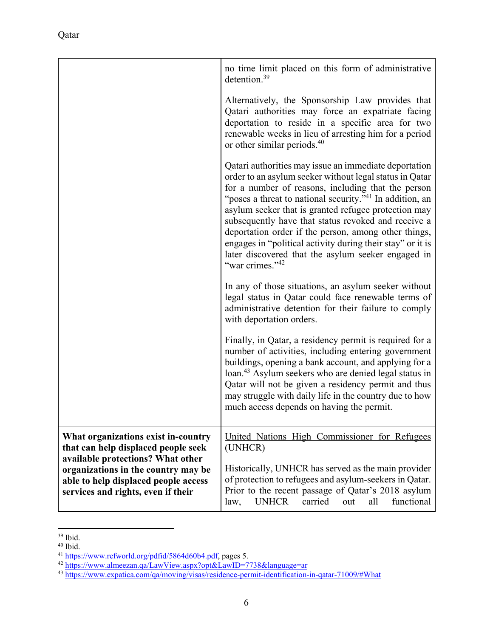|                                                                                                                                                        | no time limit placed on this form of administrative<br>detention. $39$                                                                                                                                                                                                                                                                                                                                                                                                                                                                                                   |
|--------------------------------------------------------------------------------------------------------------------------------------------------------|--------------------------------------------------------------------------------------------------------------------------------------------------------------------------------------------------------------------------------------------------------------------------------------------------------------------------------------------------------------------------------------------------------------------------------------------------------------------------------------------------------------------------------------------------------------------------|
|                                                                                                                                                        | Alternatively, the Sponsorship Law provides that<br>Qatari authorities may force an expatriate facing<br>deportation to reside in a specific area for two<br>renewable weeks in lieu of arresting him for a period<br>or other similar periods. <sup>40</sup>                                                                                                                                                                                                                                                                                                            |
|                                                                                                                                                        | Qatari authorities may issue an immediate deportation<br>order to an asylum seeker without legal status in Qatar<br>for a number of reasons, including that the person<br>"poses a threat to national security." <sup>41</sup> In addition, an<br>asylum seeker that is granted refugee protection may<br>subsequently have that status revoked and receive a<br>deportation order if the person, among other things,<br>engages in "political activity during their stay" or it is<br>later discovered that the asylum seeker engaged in<br>"war crimes." <sup>42</sup> |
|                                                                                                                                                        | In any of those situations, an asylum seeker without<br>legal status in Qatar could face renewable terms of<br>administrative detention for their failure to comply<br>with deportation orders.                                                                                                                                                                                                                                                                                                                                                                          |
|                                                                                                                                                        | Finally, in Qatar, a residency permit is required for a<br>number of activities, including entering government<br>buildings, opening a bank account, and applying for a<br>loan. <sup>43</sup> Asylum seekers who are denied legal status in<br>Qatar will not be given a residency permit and thus<br>may struggle with daily life in the country due to how<br>much access depends on having the permit.                                                                                                                                                               |
| What organizations exist in-country<br>that can help displaced people seek                                                                             | United Nations High Commissioner for Refugees<br>(UNHCR)                                                                                                                                                                                                                                                                                                                                                                                                                                                                                                                 |
| available protections? What other<br>organizations in the country may be<br>able to help displaced people access<br>services and rights, even if their | Historically, UNHCR has served as the main provider<br>of protection to refugees and asylum-seekers in Qatar.<br>Prior to the recent passage of Qatar's 2018 asylum<br>functional<br><b>UNHCR</b><br>carried<br>all<br>law,<br>out                                                                                                                                                                                                                                                                                                                                       |

<sup>39</sup> Ibid.

<sup>40</sup> Ibid.

<sup>&</sup>lt;sup>41</sup> https://www.refworld.org/pdfid/5864d60b4.pdf, pages 5.<br><sup>42</sup> https://www.almeezan.qa/LawView.aspx?opt&LawID=7738&language=ar<br><sup>43</sup> https://www.expatica.com/qa/moving/visas/residence-permit-identification-in-qatar-71009/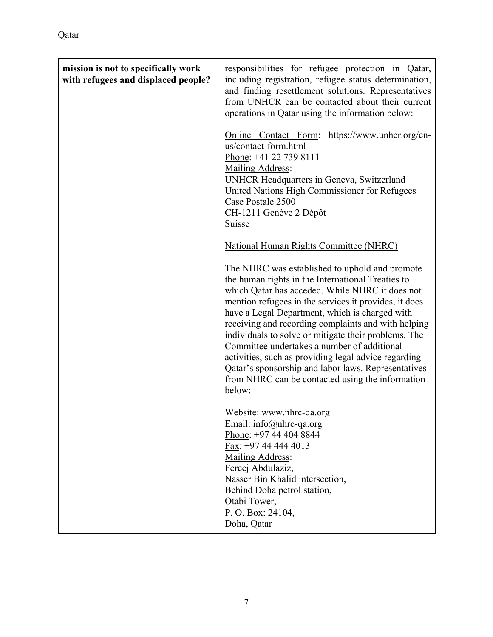| mission is not to specifically work | responsibilities for refugee protection in Qatar,                                                                                                                                                                                                                                                                                                                                                                                                                                                                                                                                                            |
|-------------------------------------|--------------------------------------------------------------------------------------------------------------------------------------------------------------------------------------------------------------------------------------------------------------------------------------------------------------------------------------------------------------------------------------------------------------------------------------------------------------------------------------------------------------------------------------------------------------------------------------------------------------|
| with refugees and displaced people? | including registration, refugee status determination,<br>and finding resettlement solutions. Representatives<br>from UNHCR can be contacted about their current<br>operations in Qatar using the information below:                                                                                                                                                                                                                                                                                                                                                                                          |
|                                     | Online Contact Form: https://www.unhcr.org/en-<br>us/contact-form.html<br>Phone: +41 22 739 8111<br>Mailing Address:<br>UNHCR Headquarters in Geneva, Switzerland<br>United Nations High Commissioner for Refugees<br>Case Postale 2500<br>CH-1211 Genève 2 Dépôt<br>Suisse                                                                                                                                                                                                                                                                                                                                  |
|                                     | <b>National Human Rights Committee (NHRC)</b>                                                                                                                                                                                                                                                                                                                                                                                                                                                                                                                                                                |
|                                     | The NHRC was established to uphold and promote<br>the human rights in the International Treaties to<br>which Qatar has acceded. While NHRC it does not<br>mention refugees in the services it provides, it does<br>have a Legal Department, which is charged with<br>receiving and recording complaints and with helping<br>individuals to solve or mitigate their problems. The<br>Committee undertakes a number of additional<br>activities, such as providing legal advice regarding<br>Qatar's sponsorship and labor laws. Representatives<br>from NHRC can be contacted using the information<br>below: |
|                                     | Website: www.nhrc-qa.org<br>Email: info@nhrc-qa.org<br>Phone: +97 44 404 8844<br>Fax: +97 44 444 4013<br>Mailing Address:<br>Fereej Abdulaziz,<br>Nasser Bin Khalid intersection,<br>Behind Doha petrol station,<br>Otabi Tower,<br>P. O. Box: 24104,<br>Doha, Qatar                                                                                                                                                                                                                                                                                                                                         |